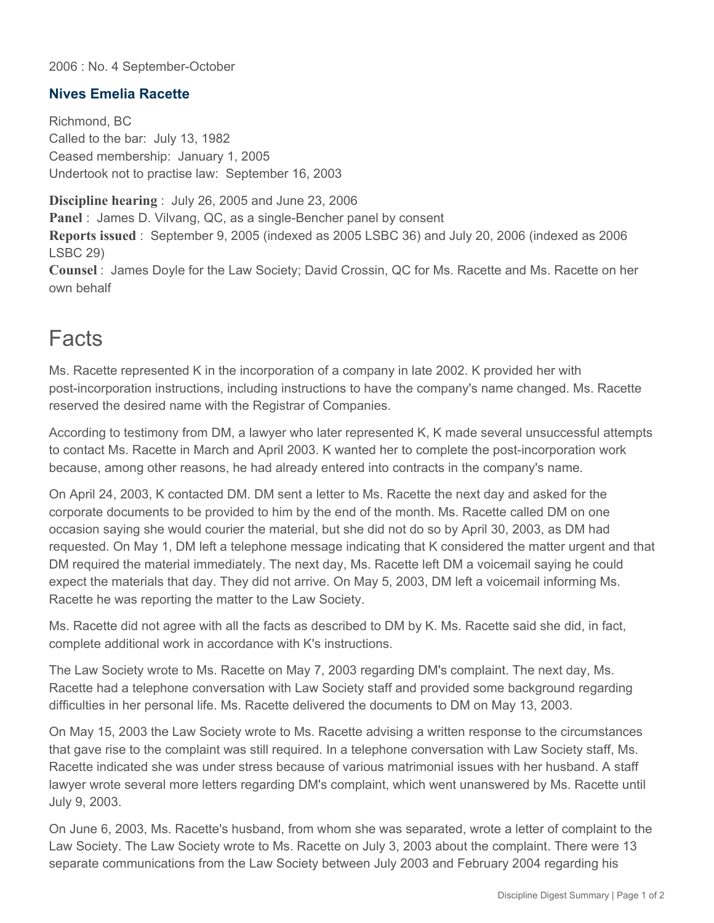#### 2006 : No. 4 September-October

### **Nives Emelia Racette**

Richmond, BC Called to the bar: July 13, 1982 Ceased membership: January 1, 2005 Undertook not to practise law: September 16, 2003

**Discipline hearing** : July 26, 2005 and June 23, 2006 **Panel** : James D. Vilvang, QC, as a single-Bencher panel by consent **Reports issued** : September 9, 2005 (indexed as 2005 LSBC 36) and July 20, 2006 (indexed as 2006 LSBC 29)

**Counsel** : James Doyle for the Law Society; David Crossin, QC for Ms. Racette and Ms. Racette on her own behalf

## **Facts**

Ms. Racette represented K in the incorporation of a company in late 2002. K provided her with post-incorporation instructions, including instructions to have the company's name changed. Ms. Racette reserved the desired name with the Registrar of Companies.

According to testimony from DM, a lawyer who later represented K, K made several unsuccessful attempts to contact Ms. Racette in March and April 2003. K wanted her to complete the post-incorporation work because, among other reasons, he had already entered into contracts in the company's name.

On April 24, 2003, K contacted DM. DM sent a letter to Ms. Racette the next day and asked for the corporate documents to be provided to him by the end of the month. Ms. Racette called DM on one occasion saying she would courier the material, but she did not do so by April 30, 2003, as DM had requested. On May 1, DM left a telephone message indicating that K considered the matter urgent and that DM required the material immediately. The next day, Ms. Racette left DM a voicemail saying he could expect the materials that day. They did not arrive. On May 5, 2003, DM left a voicemail informing Ms. Racette he was reporting the matter to the Law Society.

Ms. Racette did not agree with all the facts as described to DM by K. Ms. Racette said she did, in fact, complete additional work in accordance with K's instructions.

The Law Society wrote to Ms. Racette on May 7, 2003 regarding DM's complaint. The next day, Ms. Racette had a telephone conversation with Law Society staff and provided some background regarding difficulties in her personal life. Ms. Racette delivered the documents to DM on May 13, 2003.

On May 15, 2003 the Law Society wrote to Ms. Racette advising a written response to the circumstances that gave rise to the complaint was still required. In a telephone conversation with Law Society staff, Ms. Racette indicated she was under stress because of various matrimonial issues with her husband. A staff lawyer wrote several more letters regarding DM's complaint, which went unanswered by Ms. Racette until July 9, 2003.

On June 6, 2003, Ms. Racette's husband, from whom she was separated, wrote a letter of complaint to the Law Society. The Law Society wrote to Ms. Racette on July 3, 2003 about the complaint. There were 13 separate communications from the Law Society between July 2003 and February 2004 regarding his